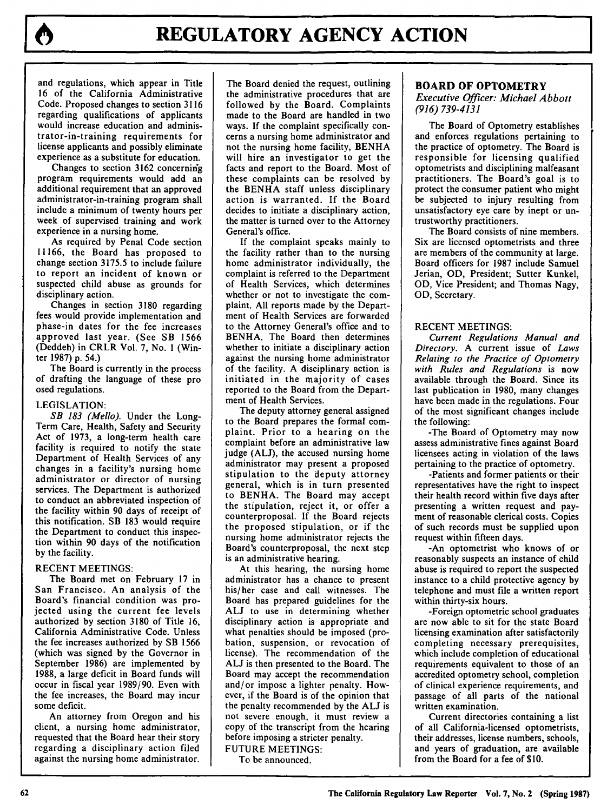and regulations, which appear in Title 16 of the California Administrative Code. Proposed changes to section **3116** regarding qualifications of applicants would increase education and administrator-in-training requirements for license applicants and possibly eliminate experience as a substitute for education.

Changes to section 3162 concerning program requirements would add an additional requirement that an approved administrator-in-training program shall include a minimum of twenty hours per week of supervised training and work experience in a nursing home.

As required by Penal Code section 11166, the Board has proposed to change section 3175.5 to include failure to report an incident of known or suspected child abuse as grounds for disciplinary action.

Changes in section 3180 regarding fees would provide implementation and phase-in dates for the fee increases approved last year. (See SB 1566 (Deddeh) in CRLR Vol. 7, No. **I** (Winter 1987) p. 54.)

The Board is currently in the process of drafting the language of these pro osed regulations.

#### LEGISLATION:

*SB 183 (Mello).* Under the Long-Term Care, Health, Safety and Security Act of 1973, a long-term health care facility is required to notify the state Department of Health Services of any changes in a facility's nursing home administrator or director of nursing services. The Department is authorized to conduct an abbreviated inspection of the facility within 90 days of receipt of this notification. SB 183 would require the Department to conduct this inspection within 90 days of the notification by the facility.

#### RECENT MEETINGS:

The Board met on February 17 in San Francisco. An analysis of the Board's financial condition was projected using the current fee levels authorized by section 3180 of Title 16, California Administrative Code. Unless the fee increases authorized by SB 1566 (which was signed by the Governor in September 1986) are implemented by 1988, a large deficit in Board funds will occur in fiscal year 1989/90. Even with the fee increases, the Board may incur some deficit.

An attorney from Oregon and his client, a nursing home administrator, requested that the Board hear their story regarding a disciplinary action filed against the nursing home administrator. The Board denied the request, outlining the administrative procedures that are followed by the Board. Complaints made to the Board are handled in two ways. If the complaint specifically concerns a nursing home administrator and not the nursing home facility, BENHA will hire an investigator to get the facts and report to the Board. Most of these complaints can be resolved by the BENHA staff unless disciplinary action is warranted. If the Board decides to initiate a disciplinary action, the matter is turned over to the Attorney General's office.

If the complaint speaks mainly to the facility rather than to the nursing home administrator individually, the complaint is referred to the Department of Health Services, which determines whether or not to investigate the complaint. All reports made by the Department of Health Services are forwarded to the Attorney General's office and to BENHA. The Board then determines whether to initiate a disciplinary action against the nursing home administrator of the facility. A disciplinary action is initiated in the majority of cases reported to the Board from the Department of Health Services.

The deputy attorney general assigned to the Board prepares the formal complaint. Prior to a hearing on the complaint before an administrative law judge (ALJ), the accused nursing home administrator may present a proposed stipulation to the deputy attorney general, which is in turn presented to BENHA. The Board may accept the stipulation, reject it, or offer a counterproposal. If the Board rejects the proposed stipulation, or if the nursing home administrator rejects the Board's counterproposal, the next step is an administrative hearing.

At this hearing, the nursing home administrator has a chance to present his/her case and call witnesses. The Board has prepared guidelines for the **ALJ** to use in determining whether disciplinary action is appropriate and what penalties should be imposed (probation, suspension, or revocation of license). The recommendation of the **ALJ** is then presented to the Board. The Board may accept the recommendation and/or impose a lighter penalty. However, if the Board is of the opinion that the penalty recommended by the **ALJ** is not severe enough, it must review a copy of the transcript from the hearing before imposing a stricter penalty. FUTURE MEETINGS:

To be announced.

# **BOARD OF OPTOMETRY**

*Executive Officer: Michael Abbott (916) 739-4131*

The Board of Optometry establishes and enforces regulations pertaining to the practice of optometry. The Board is responsible for licensing qualified optometrists and disciplining malfeasant practitioners. The Board's goal is to protect the consumer patient who might be subjected to injury resulting from unsatisfactory eye care **by** inept or untrustworthy practitioners.

The Board consists of nine members. Six are licensed optometrists and three are members of the community at large. Board officers for **1987** include Samuel Jerian, **OD,** President; Sutter Kunkel, **OD,** Vice President; and Thomas Nagy, **OD,** Secretary.

# **RECENT MEETINGS:**

*Current Regulations Manual and Directory.* **A** current issue of *Laws Relating to the Practice of Optometry with Rules and Regulations* is now available through the Board. Since its last publication in **1980,** many changes have been made in the regulations. Four of the most significant changes include the following:

-The Board of Optometry may now assess administrative fines against Board licensees acting in violation of the laws pertaining to the practice of optometry.

-Patients and former patients or their representatives have the right to inspect their health record within five days after presenting a written request and payment of reasonable clerical costs. Copies of such records must be supplied upon request within fifteen days.

-An optometrist who knows of or reasonably suspects an instance of child abuse is required to report the suspected instance to a child protective agency by telephone and must file a written report within thirty-six hours.

-Foreign optometric school graduates are now able to sit for the state Board licensing examination after satisfactorily completing necessary prerequisites, which include completion of educational requirements equivalent to those of an accredited optometry school, completion of clinical experience requirements, and passage of all parts of the national written examination.

Current directories containing a list of all California-licensed optometrists, their addresses, license numbers, schools, and years of graduation, are available from the Board for a fee of \$10.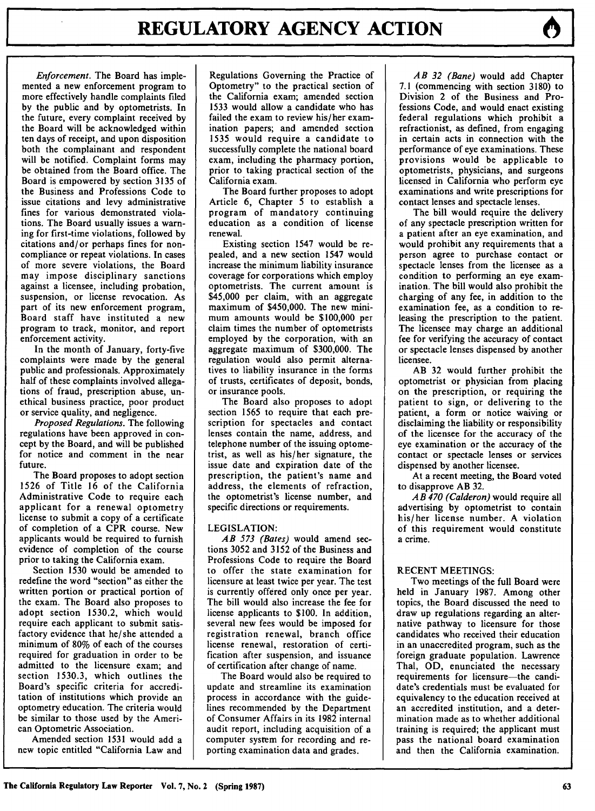*Enforcement.* The Board has implemented a new enforcement program to more effectively handle complaints filed by the public and by optometrists. In the future, every complaint received by the Board will be acknowledged within ten days of receipt, and upon disposition both the complainant and respondent will be notified. Complaint forms may be obtained from the Board office. The Board is empowered by section 3135 of the Business and Professions Code to issue citations and levy administrative fines for various demonstrated violations. The Board usually issues a warning for first-time violations, followed by citations and/or perhaps fines for noncompliance or repeat violations. In cases of more severe violations, the Board may impose disciplinary sanctions against a licensee, including probation, suspension, or license revocation. As part of its new enforcement program, Board staff have instituted a new program to track, monitor, and report enforcement activity.

In the month of January, forty-five complaints were made by the general public and professionals. Approximately half of these complaints involved allegations of fraud, prescription abuse, unethical business practice, poor product or service quality, and negligence.

*Proposed Regulations.* The following regulations have been approved in concept by the Board, and will be published for notice and comment in the near future.

The Board proposes to adopt section 1526 of Title 16 of the California Administrative Code to require each applicant for a renewal optometry license to submit a copy of a certificate of completion of a CPR course. New applicants would be required to furnish evidence of completion of the course prior to taking the California exam.

Section 1530 would be amended to redefine the word "section" as either the written portion or practical portion of the exam. The Board also proposes to adopt section 1530.2, which would require each applicant to submit satisfactory evidence that he/she attended a minimum of 80% of each of the courses required for graduation in order to be admitted to the licensure exam; and section 1530.3, which outlines the Board's specific criteria for accreditation of institutions which provide an optometry education. The criteria would be similar to those used by the American Optometric Association.

Amended section 1531 would add a new topic entitled "California Law and

Regulations Governing the Practice of Optometry" to the practical section of the California exam; amended section 1533 would allow a candidate who has failed the exam to review his/her examination papers; and amended section 1535 would require a candidate to successfully complete the national board exam, including the pharmacy portion, prior to taking practical section of the California exam.

The Board further proposes to adopt Article 6, Chapter 5 to establish a program of mandatory continuing education as a condition of license renewal.

Existing section 1547 would be repealed, and a new section 1547 would increase the minimum liability insurance coverage for corporations which employ optometrists. The current amount is \$45,000 per claim, with an aggregate maximum of \$450,000. The new minimum amounts would be \$100,000 per claim times the number of optometrists employed by the corporation, with an aggregate maximum of \$300,000. The regulation would also permit alternatives to liability insurance in the forms of trusts, certificates of deposit, bonds, or insurance pools.

The Board also proposes to adopt section 1565 to require that each prescription for spectacles and contact lenses contain the name, address, and telephone number of the issuing optometrist, as well as his/her signature, the issue date and expiration date of the prescription, the patient's name and address, the elements of refraction, the optometrist's license number, and specific directions or requirements.

#### LEGISLATION:

*AB 573 (Bates)* would amend sections 3052 and 3152 of the Business and Professions Code to require the Board to offer the state examination for licensure at least twice per year. The test is currently offered only once per year. The bill would also increase the fee for license applicants to \$100. In addition, several new fees would be imposed for registration renewal, branch office license renewal, restoration of certification after suspension, and issuance of certification after change of name.

The Board would also be required to update and streamline its examination process in accordance with the guidelines recommended by the Department of Consumer Affairs in its 1982 internal audit report, including acquisition of a computer system for recording and reporting examination data and grades.

*AB 32 (Bane)* would add Chapter 7.1 (commencing with section **3180)** to Division 2 of the Business and Professions Code, and would enact existing federal regulations which prohibit a refractionist, as defined, from engaging in certain acts in connection with the performance of eye examinations. These provisions would be applicable to optometrists, physicians, and surgeons licensed in California who perform eye examinations and write prescriptions for contact lenses and spectacle lenses.

The bill would require the delivery of any spectacle prescription written for a patient after an eye examination, and would prohibit any requirements that a person agree to purchase contact or spectacle lenses from the licensee as a condition to performing an eye examination. The bill would also prohibit the charging of any fee, in addition to the examination fee, as a condition to releasing the prescription to the patient. The licensee may charge an additional fee for verifying the accuracy of contact or spectacle lenses dispensed by another licensee.

AB 32 would further prohibit the optometrist or physician from placing on the prescription, or requiring the patient to sign, or delivering to the patient, a form or notice waiving or disclaiming the liability or responsibility of the licensee for the accuracy of the eye examination or the accuracy of the contact or spectacle lenses or services dispensed by another licensee.

At a recent meeting, the Board voted to disapprove AB 32.

*AB 470 (Calderon)* would require all advertising by optometrist to contain his/her license number. A violation of this requirement would constitute a crime.

#### RECENT MEETINGS:

Two meetings of the full Board were held in January 1987. Among other topics, the Board discussed the need to draw up regulations regarding an alternative pathway to licensure for those candidates who received their education in an unaccredited program, such as the foreign graduate population. Lawrence Thai, OD, enunciated the necessary requirements for licensure-the candidate's credentials must be evaluated for equivalency to the education received at an accredited institution, and a determination made as to whether additional training is required; the applicant must pass the national board examination and then the California examination.